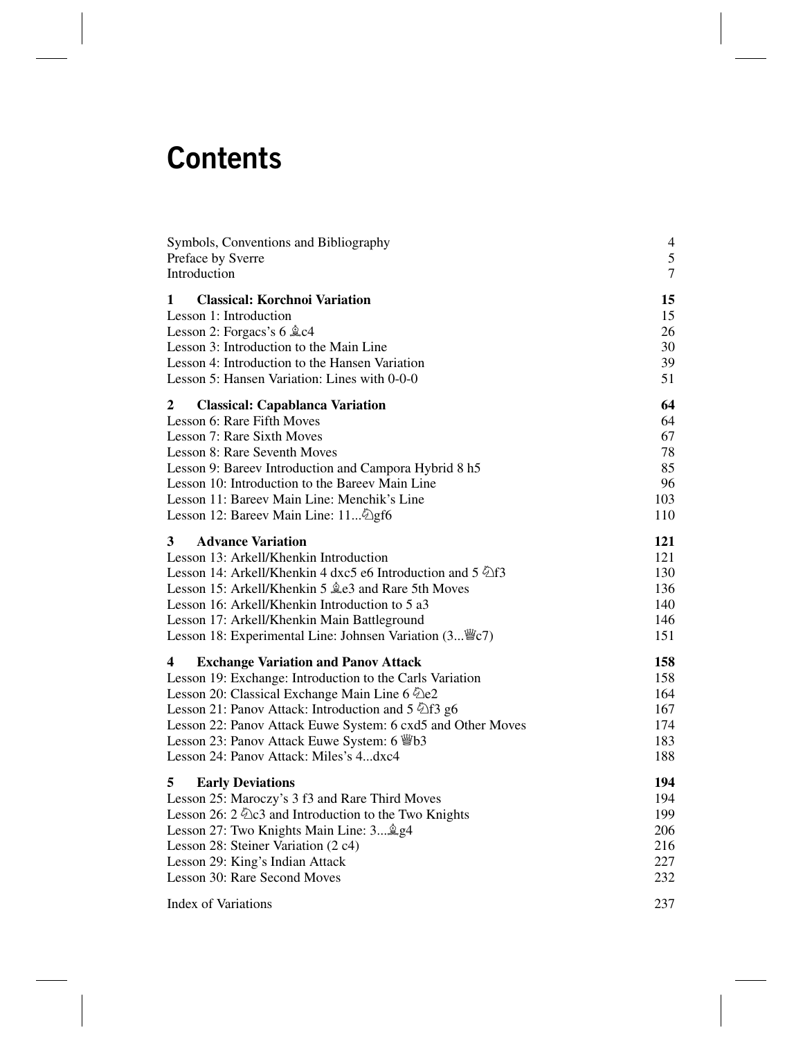# **Contents**

| Symbols, Conventions and Bibliography                       | $\overline{4}$ |
|-------------------------------------------------------------|----------------|
| Preface by Sverre                                           | 5              |
| Introduction                                                | $\overline{7}$ |
|                                                             |                |
| <b>Classical: Korchnoi Variation</b><br>1                   | 15             |
| Lesson 1: Introduction                                      | 15             |
| Lesson 2: Forgacs's $6 \&c4$                                | 26             |
| Lesson 3: Introduction to the Main Line                     | 30             |
| Lesson 4: Introduction to the Hansen Variation              | 39             |
| Lesson 5: Hansen Variation: Lines with 0-0-0                | 51             |
| $\mathbf{2}$<br><b>Classical: Capablanca Variation</b>      | 64             |
| Lesson 6: Rare Fifth Moves                                  | 64             |
| Lesson 7: Rare Sixth Moves                                  | 67             |
| Lesson 8: Rare Seventh Moves                                | 78             |
| Lesson 9: Bareev Introduction and Campora Hybrid 8 h5       | 85             |
| Lesson 10: Introduction to the Bareev Main Line             | 96             |
| Lesson 11: Bareev Main Line: Menchik's Line                 | 103            |
| Lesson 12: Bareev Main Line: 11 2gf6                        | 110            |
|                                                             |                |
| 3<br><b>Advance Variation</b>                               | 121            |
| Lesson 13: Arkell/Khenkin Introduction                      | 121            |
| Lesson 14: Arkell/Khenkin 4 dxc5 e6 Introduction and 5 \[f3 | 130            |
| Lesson 15: Arkell/Khenkin 5 $2e3$ and Rare 5th Moves        | 136            |
| Lesson 16: Arkell/Khenkin Introduction to 5 a3              | 140            |
| Lesson 17: Arkell/Khenkin Main Battleground                 | 146            |
| Lesson 18: Experimental Line: Johnsen Variation (3 We7)     | 151            |
| <b>Exchange Variation and Panov Attack</b><br>4             | 158            |
| Lesson 19: Exchange: Introduction to the Carls Variation    | 158            |
| Lesson 20: Classical Exchange Main Line 6 2e2               | 164            |
| Lesson 21: Panov Attack: Introduction and 5 2f3 g6          | 167            |
| Lesson 22: Panov Attack Euwe System: 6 cxd5 and Other Moves | 174            |
| Lesson 23: Panov Attack Euwe System: 6 Wb3                  | 183            |
| Lesson 24: Panov Attack: Miles's 4dxc4                      | 188            |
|                                                             |                |
| 5<br><b>Early Deviations</b>                                | 194            |
| Lesson 25: Maroczy's 3 f3 and Rare Third Moves              | 194            |
| Lesson 26: $2 \& 2$ and Introduction to the Two Knights     | 199            |
| Lesson 27: Two Knights Main Line: 3 \$g4                    | 206            |
| Lesson 28: Steiner Variation (2 c4)                         | 216            |
| Lesson 29: King's Indian Attack                             | 227            |
| Lesson 30: Rare Second Moves                                | 232            |
| <b>Index of Variations</b>                                  | 237            |
|                                                             |                |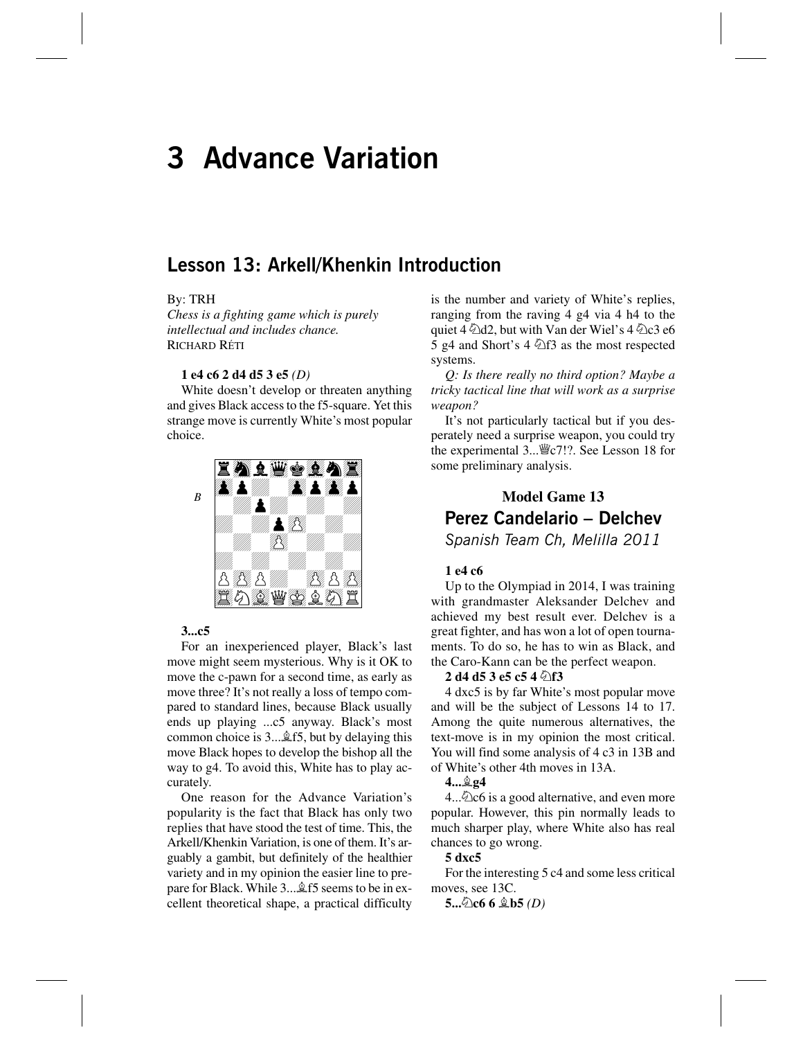## **3 Advance Variation**

### **Lesson 13: Arkell/Khenkin Introduction**

#### By: TRH

*Chess is a fighting game which is purely intellectual and includes chance.* RICHARD RÉTI

#### **1 e4 c6 2 d4 d5 3 e5** *(D)*

White doesn't develop or threaten anything and gives Black access to the f5-square. Yet this strange move is currently White's most popular choice.



#### **3...c5**

For an inexperienced player, Black's last move might seem mysterious. Why is it OK to move the c-pawn for a second time, as early as move three? It's not really a loss of tempo compared to standard lines, because Black usually ends up playing ...c5 anyway. Black's most common choice is  $3 \dots \hat{\mathbb{Z}}$  f5, but by delaying this move Black hopes to develop the bishop all the way to g4. To avoid this, White has to play accurately.

One reason for the Advance Variation's popularity is the fact that Black has only two replies that have stood the test of time. This, the Arkell/Khenkin Variation, is one of them. It's arguably a gambit, but definitely of the healthier variety and in my opinion the easier line to prepare for Black. While 3... \$15 seems to be in excellent theoretical shape, a practical difficulty is the number and variety of White's replies, ranging from the raving 4 g4 via 4 h4 to the quiet 4  $\triangle$ d2, but with Van der Wiel's 4  $\triangle$ c3 e6 5 g4 and Short's 4  $\triangle$ f3 as the most respected systems.

*Q: Is there really no third option? Maybe a tricky tactical line that will work as a surprise weapon?*

It's not particularly tactical but if you desperately need a surprise weapon, you could try the experimental 3...<sup>™</sup> c7!?. See Lesson 18 for some preliminary analysis.

## **Model Game 13 Perez Candelario – Delchev**

*Spanish Team Ch, Melilla 2011*

#### **1 e4 c6**

Up to the Olympiad in 2014, I was training with grandmaster Aleksander Delchev and achieved my best result ever. Delchev is a great fighter, and has won a lot of open tournaments. To do so, he has to win as Black, and the Caro-Kann can be the perfect weapon.

#### **2 d4 d5 3 e5 c5 4**  $\triangle$ **f3**

4 dxc5 is by far White's most popular move and will be the subject of Lessons 14 to 17. Among the quite numerous alternatives, the text-move is in my opinion the most critical. You will find some analysis of 4 c3 in 13B and of White's other 4th moves in 13A.

#### **4...Íg4**

 $4...\&$  c6 is a good alternative, and even more popular. However, this pin normally leads to much sharper play, where White also has real chances to go wrong.

#### **5 dxc5**

For the interesting 5 c4 and some less critical moves, see 13C.

**5...Ìc6 6 Íb5** *(D)*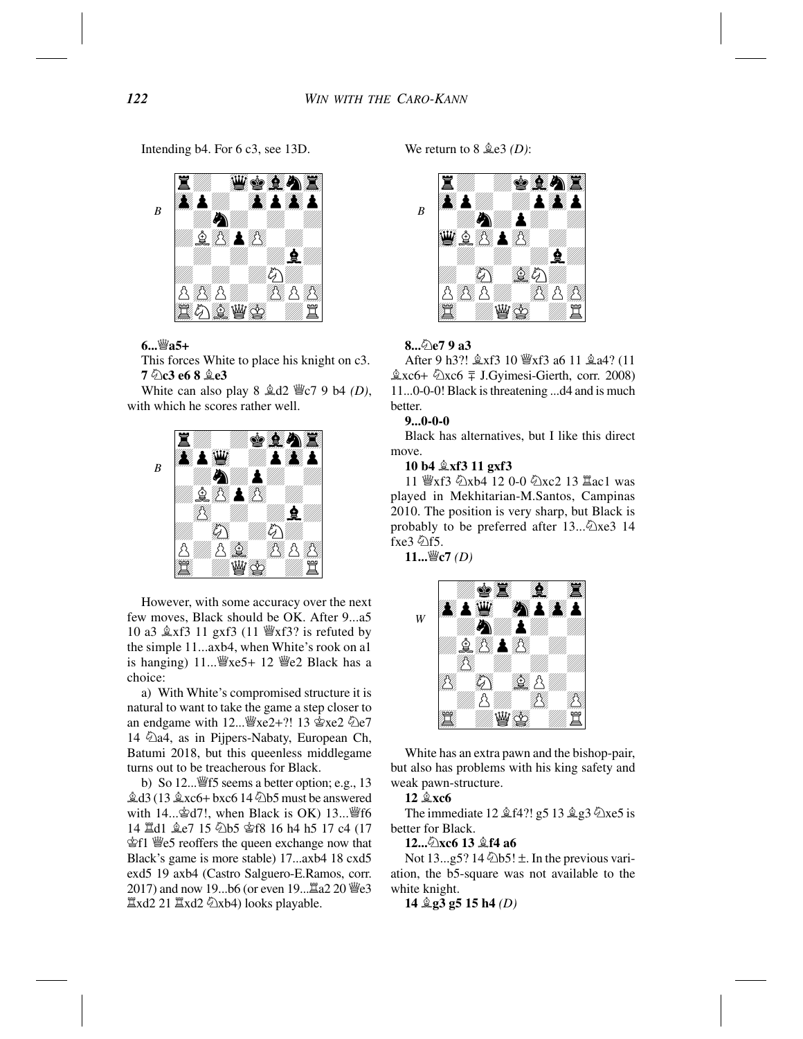Intending b4. For 6 c3, see 13D.



#### **6...Ëa5+**

This forces White to place his knight on c3. **7 Ìc3 e6 8 Íe3**

White can also play  $8 \triangle 42$  We  $79$  b4 *(D)*, with which he scores rather well.



However, with some accuracy over the next few moves, Black should be OK. After 9...a5 10 a3  $\&$ xf3 11 gxf3 (11  $\&$ xf3? is refuted by the simple 11...axb4, when White's rook on a1 is hanging)  $11...$   $\mathbb{W}$ xe5+ 12  $\mathbb{W}$ e2 Black has a choice:

a) With White's compromised structure it is natural to want to take the game a step closer to an endgame with  $12 \dots \frac{w}{2}$ xe2+?!  $13 \frac{w}{2}$ xe2  $\frac{w}{2}$ e7 14  $\hat{\triangle}$ a4, as in Pijpers-Nabaty, European Ch, Batumi 2018, but this queenless middlegame turns out to be treacherous for Black.

b) So  $12 \dots \frac{100}{3}$  seems a better option; e.g., 13  $\&$ d3 (13  $\&$ xc6+ bxc6 14  $\&$ b5 must be answered with  $14...\trianglelefteq d7!$ , when Black is OK)  $13...\trianglelefteq f6$ 14  $\ddot{\text{2}}$ d1  $\dot{\text{2}}$ e7 15  $\ddot{\text{2}}$ b5 宮f8 16 h4 h5 17 c4 (17 Êf1 Ëe5 reoffers the queen exchange now that Black's game is more stable) 17...axb4 18 cxd5 exd5 19 axb4 (Castro Salguero-E.Ramos, corr. 2017) and now 19...b6 (or even 19... $\Xi$ a2 20  $\Xi$ e3  $\Xi$ xd2 21  $\Xi$ xd2  $\Im$ xb4) looks playable.

We return to 8 Íe3 *(D)*:



#### **8...Ìe7 9 a3**

After 9 h3?!  $\&xf3$  10  $\&xf3$  a6 11  $\&a4$ ? (11  $\&xc6+\&xc6 \equiv J.Gyimesi-Gierth, corr. 2008)$ 11...0-0-0! Black is threatening ...d4 and is much better.

#### **9...0-0-0**

Black has alternatives, but I like this direct move.

#### **10 b4 Íxf3 11 gxf3**

11 營xf3 ②xb4 12 0-0 ②xc2 13 Iac1 was played in Mekhitarian-M.Santos, Campinas 2010. The position is very sharp, but Black is probably to be preferred after  $13...$  $x \in 3$  14 fxe3 \fif5.

**11...Ëc7** *(D)*



White has an extra pawn and the bishop-pair, but also has problems with his king safety and weak pawn-structure.

**12**  $\&$ **xc6** 

The immediate 12  $\angle$  f4?! g5 13  $\angle$  g3  $\angle$ xe5 is better for Black.

**12...** $\&$ **xc6** 13  $\&$ **f4** a6

Not  $13...g5$ ?  $14 \& b5! \pm$ . In the previous variation, the b5-square was not available to the white knight.

**14 Íg3 g5 15 h4** *(D)*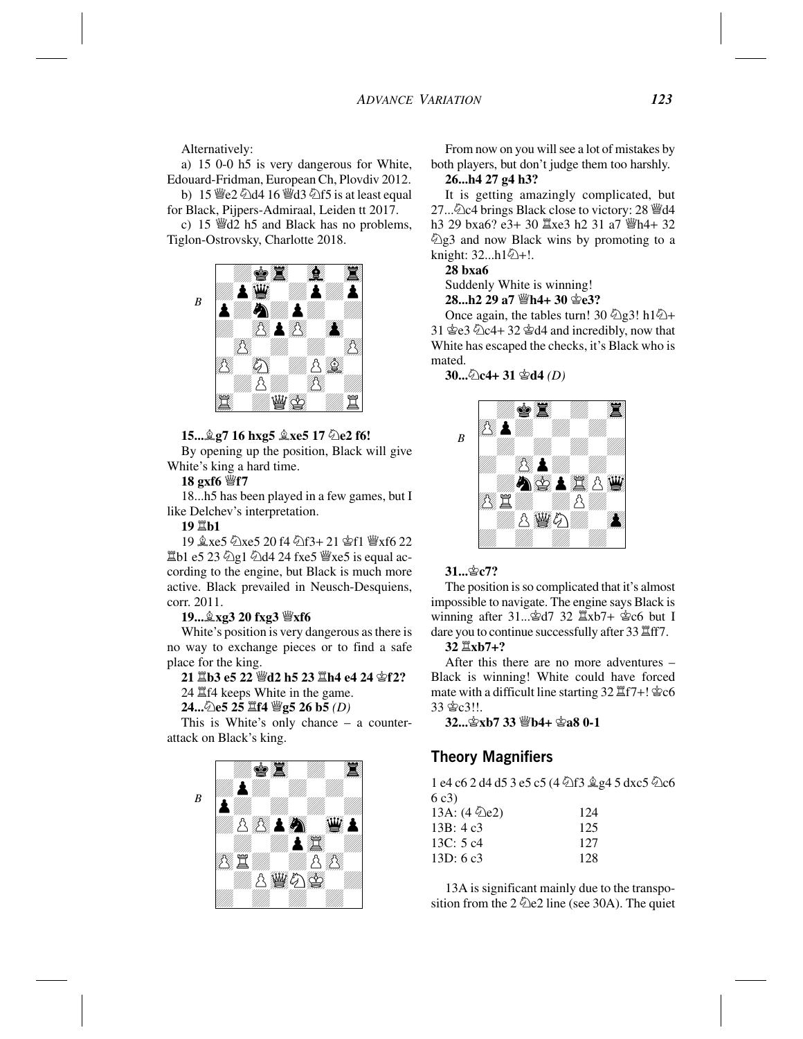Alternatively:

a) 15 0-0 h5 is very dangerous for White, Edouard-Fridman, European Ch, Plovdiv 2012.

b)  $15 \, \text{W}$ e2  $\text{\textdegree}$ d4  $16 \, \text{W}$ d3  $\text{\textdegree}$ f5 is at least equal for Black, Pijpers-Admiraal, Leiden tt 2017. c) 15  $\mathcal{H}$ d2 h5 and Black has no problems,

Tiglon-Ostrovsky, Charlotte 2018.



#### **15... g7 16 hxg5**  $\&$ **xe5 17**  $\&$ **e2 f6!**

By opening up the position, Black will give White's king a hard time.

#### **18 gxf6 Ëf7**

18...h5 has been played in a few games, but I like Delchev's interpretation.

#### **19 Îb1**

19 gxe5 公xe5 20 f4 公f3+ 21 查f1 營xf6 22 Îb1 e5 23 Ìg1 Ìd4 24 fxe5 Ëxe5 is equal according to the engine, but Black is much more active. Black prevailed in Neusch-Desquiens, corr. 2011.

#### **19...Íxg3 20 fxg3 Ëxf6**

White's position is very dangerous as there is no way to exchange pieces or to find a safe place for the king.

#### **21 Îb3 e5 22 Ëd2 h5 23 Îh4 e4 24 Êf2?** 24 Îf4 keeps White in the game.

#### **24...Ìe5 25 Îf4 Ëg5 26 b5** *(D)*

This is White's only chance – a counterattack on Black's king.



From now on you will see a lot of mistakes by both players, but don't judge them too harshly. **26...h4 27 g4 h3?**

It is getting amazingly complicated, but 27... ① c4 brings Black close to victory: 28 *S*under h3 29 bxa6? e3+ 30  $\Xi$ xe3 h2 31 a7  $\Xi$ h4+ 32  $\hat{\mathbb{Z}}$ g3 and now Black wins by promoting to a knight:  $32...h1@+!$ .

#### **28 bxa6**

Suddenly White is winning!

#### **28...h2 29 a7 ≝h4+ 30 ≌e3?**

Once again, the tables turn! 30  $\hat{\otimes}$  g3! h1 $\hat{\otimes}$ + 31  $\text{\textdegreeled{2}}e3 \text{\textdegreeled{2}}c4+32 \text{\textdegreeled{2}}d4$  and incredibly, now that White has escaped the checks, it's Black who is mated.

**30...Ìc4+ 31 Êd4** *(D)*



#### **31...Êc7?**

The position is so complicated that it's almost impossible to navigate. The engine says Black is winning after 31... 宫d7 32  $\Xi$ xb7+ 宫c6 but I dare you to continue successfully after  $33 \mathbb{Z}$ ff7.

#### **32 Îxb7+?**

After this there are no more adventures – Black is winning! White could have forced mate with a difficult line starting  $32 \mathbb{Z}f7 + \mathbb{Q}c6$ 33 含c3!!.

**32...Êxb7 33 Ëb4+ Êa8 0-1**

#### **Theory Magnifiers**

1 e4 c6 2 d4 d5 3 e5 c5 (4  $\triangle$ f3  $\triangle$ g4 5 dxc5  $\triangle$ c6 6 c3)

| 13A: $(4 \angle 2e)$ | 124 |
|----------------------|-----|
| 13B: 4c3             | 125 |
| 13C: $5c4$           | 127 |
| 13D:6c3              | 128 |

13A is significant mainly due to the transposition from the  $2 \triangleleft$ e2 line (see 30A). The quiet